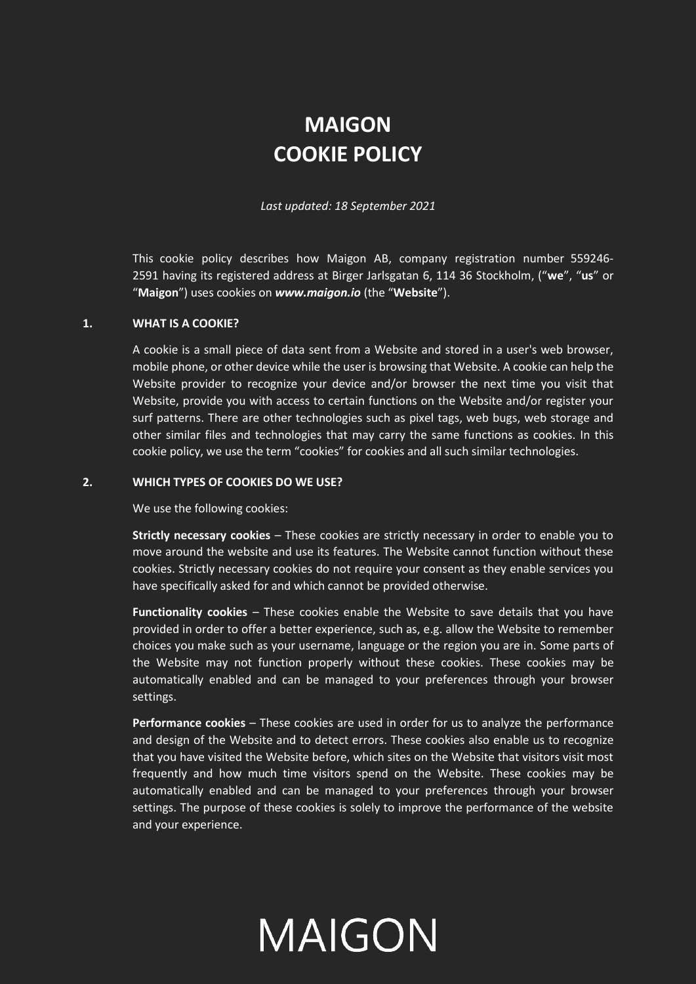# **MAIGON COOKIE POLICY**

*Last updated: 18 September 2021*

This cookie policy describes how Maigon AB, company registration number 559246- 2591 having its registered address at Birger Jarlsgatan 6, 114 36 Stockholm, ("**we**", "**us**" or "**Maigon**") uses cookies on *www.maigon.io* (the "**Website**").

#### **1. WHAT IS A COOKIE?**

A cookie is a small piece of data sent from a Website and stored in a user's web browser, mobile phone, or other device while the user is browsing that Website. A cookie can help the Website provider to recognize your device and/or browser the next time you visit that Website, provide you with access to certain functions on the Website and/or register your surf patterns. There are other technologies such as pixel tags, web bugs, web storage and other similar files and technologies that may carry the same functions as cookies. In this cookie policy, we use the term "cookies" for cookies and all such similar technologies.

#### **2. WHICH TYPES OF COOKIES DO WE USE?**

We use the following cookies:

**Strictly necessary cookies** – These cookies are strictly necessary in order to enable you to move around the website and use its features. The Website cannot function without these cookies. Strictly necessary cookies do not require your consent as they enable services you have specifically asked for and which cannot be provided otherwise.

**Functionality cookies** – These cookies enable the Website to save details that you have provided in order to offer a better experience, such as, e.g. allow the Website to remember choices you make such as your username, language or the region you are in. Some parts of the Website may not function properly without these cookies. These cookies may be automatically enabled and can be managed to your preferences through your browser settings.

**Performance cookies** – These cookies are used in order for us to analyze the performance and design of the Website and to detect errors. These cookies also enable us to recognize that you have visited the Website before, which sites on the Website that visitors visit most frequently and how much time visitors spend on the Website. These cookies may be automatically enabled and can be managed to your preferences through your browser settings. The purpose of these cookies is solely to improve the performance of the website and your experience.

# MAIGON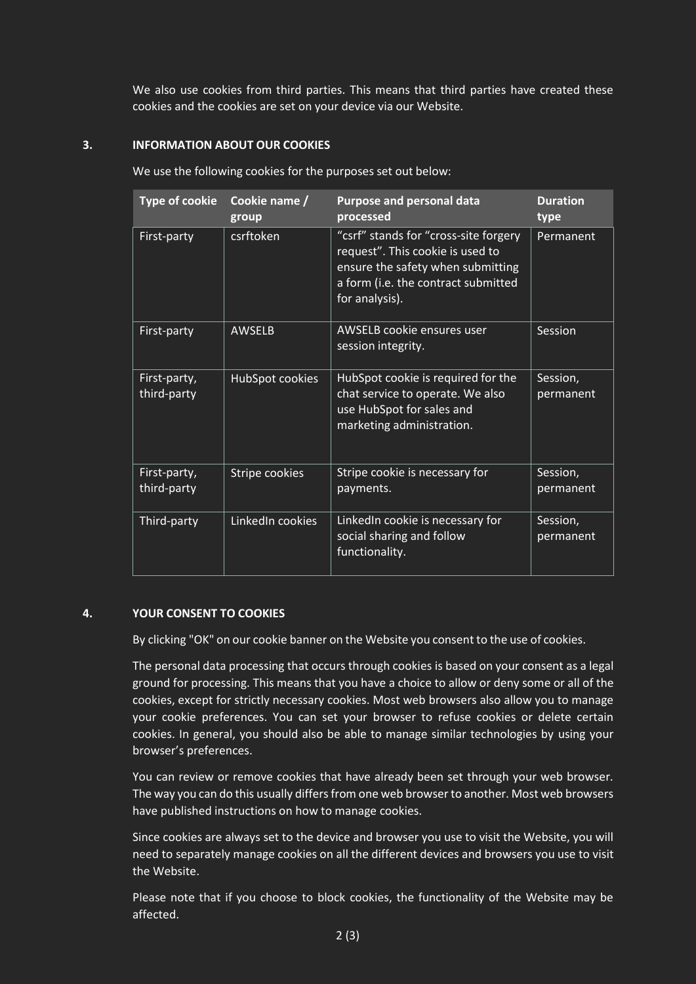We also use cookies from third parties. This means that third parties have created these cookies and the cookies are set on your device via our Website.

# **3. INFORMATION ABOUT OUR COOKIES**

We use the following cookies for the purposes set out below:

| <b>Type of cookie</b>       | Cookie name /<br>group | <b>Purpose and personal data</b><br>processed                                                                                                                           | <b>Duration</b><br>type |
|-----------------------------|------------------------|-------------------------------------------------------------------------------------------------------------------------------------------------------------------------|-------------------------|
| First-party                 | csrftoken              | "csrf" stands for "cross-site forgery<br>request". This cookie is used to<br>ensure the safety when submitting<br>a form (i.e. the contract submitted<br>for analysis). | Permanent               |
| First-party                 | <b>AWSELB</b>          | AWSELB cookie ensures user<br>session integrity.                                                                                                                        | Session                 |
| First-party,<br>third-party | HubSpot cookies        | HubSpot cookie is required for the<br>chat service to operate. We also<br>use HubSpot for sales and<br>marketing administration.                                        | Session,<br>permanent   |
| First-party,<br>third-party | Stripe cookies         | Stripe cookie is necessary for<br>payments.                                                                                                                             | Session,<br>permanent   |
| Third-party                 | LinkedIn cookies       | LinkedIn cookie is necessary for<br>social sharing and follow<br>functionality.                                                                                         | Session,<br>permanent   |

## **4. YOUR CONSENT TO COOKIES**

By clicking "OK" on our cookie banner on the Website you consent to the use of cookies.

The personal data processing that occurs through cookies is based on your consent as a legal ground for processing. This means that you have a choice to allow or deny some or all of the cookies, except for strictly necessary cookies. Most web browsers also allow you to manage your cookie preferences. You can set your browser to refuse cookies or delete certain cookies. In general, you should also be able to manage similar technologies by using your browser's preferences.

You can review or remove cookies that have already been set through your web browser. The way you can do this usually differsfrom one web browser to another. Most web browsers have published instructions on how to manage cookies.

Since cookies are always set to the device and browser you use to visit the Website, you will need to separately manage cookies on all the different devices and browsers you use to visit the Website.

Please note that if you choose to block cookies, the functionality of the Website may be affected.